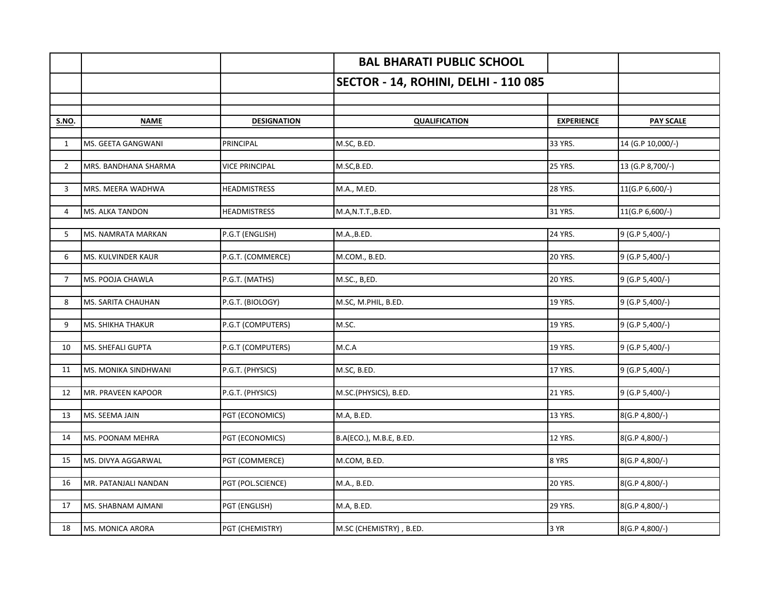|                |                      |                       | <b>BAL BHARATI PUBLIC SCHOOL</b>     |                   |                   |
|----------------|----------------------|-----------------------|--------------------------------------|-------------------|-------------------|
|                |                      |                       | SECTOR - 14, ROHINI, DELHI - 110 085 |                   |                   |
|                |                      |                       |                                      |                   |                   |
| <b>S.NO.</b>   | <b>NAME</b>          | <b>DESIGNATION</b>    | <b>QUALIFICATION</b>                 | <b>EXPERIENCE</b> | <b>PAY SCALE</b>  |
|                |                      |                       |                                      |                   |                   |
| $\mathbf{1}$   | MS. GEETA GANGWANI   | PRINCIPAL             | M.SC, B.ED.                          | 33 YRS.           | 14 (G.P 10,000/-) |
| $\overline{2}$ | MRS. BANDHANA SHARMA | <b>VICE PRINCIPAL</b> | M.SC,B.ED.                           | 25 YRS.           | 13 (G.P 8,700/-)  |
| 3              | MRS. MEERA WADHWA    | <b>HEADMISTRESS</b>   | M.A., M.ED.                          | 28 YRS.           | 11(G.P 6,600/-)   |
|                |                      |                       |                                      |                   |                   |
| 4              | MS. ALKA TANDON      | <b>HEADMISTRESS</b>   | M.A,N.T.T.,B.ED.                     | 31 YRS.           | 11(G.P 6,600/-)   |
| 5              | MS. NAMRATA MARKAN   | P.G.T (ENGLISH)       | M.A., B.ED.                          | 24 YRS.           | 9 (G.P 5,400/-)   |
| 6              | MS. KULVINDER KAUR   | P.G.T. (COMMERCE)     | M.COM., B.ED.                        | <b>20 YRS.</b>    | 9 (G.P 5,400/-)   |
|                |                      |                       |                                      |                   |                   |
| $\overline{7}$ | MS. POOJA CHAWLA     | P.G.T. (MATHS)        | M.SC., B,ED.                         | 20 YRS.           | 9 (G.P 5,400/-)   |
| 8              | MS. SARITA CHAUHAN   | P.G.T. (BIOLOGY)      | M.SC, M.PHIL, B.ED.                  | 19 YRS.           | 9 (G.P 5,400/-)   |
|                |                      |                       |                                      |                   |                   |
| 9              | MS. SHIKHA THAKUR    | P.G.T (COMPUTERS)     | M.SC.                                | 19 YRS.           | 9 (G.P 5,400/-)   |
| 10             | MS. SHEFALI GUPTA    | P.G.T (COMPUTERS)     | M.C.A                                | 19 YRS.           | 9 (G.P 5,400/-)   |
| 11             | MS. MONIKA SINDHWANI | P.G.T. (PHYSICS)      | M.SC, B.ED.                          | 17 YRS.           | 9 (G.P 5,400/-)   |
|                |                      |                       |                                      |                   |                   |
| 12             | MR. PRAVEEN KAPOOR   | P.G.T. (PHYSICS)      | M.SC.(PHYSICS), B.ED.                | <b>21 YRS.</b>    | 9 (G.P 5,400/-)   |
|                |                      |                       |                                      |                   |                   |
| 13             | MS. SEEMA JAIN       | PGT (ECONOMICS)       | M.A, B.ED.                           | 13 YRS.           | 8(G.P 4,800/-)    |
| 14             | MS. POONAM MEHRA     | PGT (ECONOMICS)       | B.A(ECO.), M.B.E, B.ED.              | 12 YRS.           | 8(G.P 4,800/-)    |
|                |                      |                       |                                      |                   |                   |
| 15             | MS. DIVYA AGGARWAL   | PGT (COMMERCE)        | M.COM, B.ED.                         | 8 YRS             | 8(G.P 4,800/-)    |
| 16             | MR. PATANJALI NANDAN | PGT (POL.SCIENCE)     | M.A., B.ED.                          | 20 YRS.           | 8(G.P 4,800/-)    |
|                |                      |                       |                                      |                   |                   |
| 17             | MS. SHABNAM AJMANI   | PGT (ENGLISH)         | M.A, B.ED.                           | 29 YRS.           | 8(G.P 4,800/-)    |
| 18             | MS. MONICA ARORA     | PGT (CHEMISTRY)       | M.SC (CHEMISTRY), B.ED.              | 3 YR              | 8(G.P 4,800/-)    |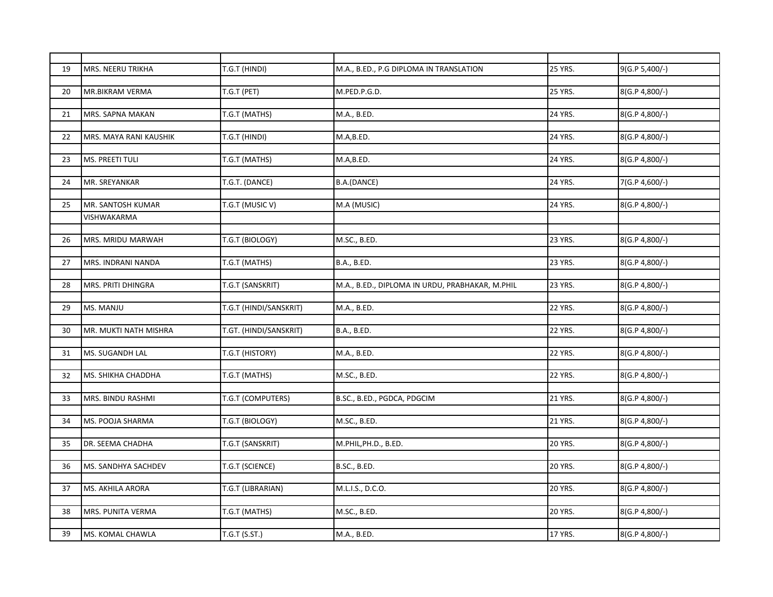| 19 | MRS. NEERU TRIKHA      | T.G.T (HINDI)          | M.A., B.ED., P.G DIPLOMA IN TRANSLATION         | 25 YRS.        | 9(G.P 5,400/-) |
|----|------------------------|------------------------|-------------------------------------------------|----------------|----------------|
|    |                        |                        |                                                 |                |                |
| 20 | MR.BIKRAM VERMA        | T.G.T (PET)            | M.PED.P.G.D.                                    | <b>25 YRS.</b> | 8(G.P 4,800/-) |
|    |                        |                        |                                                 |                |                |
| 21 | MRS. SAPNA MAKAN       | T.G.T (MATHS)          | M.A., B.ED.                                     | 24 YRS.        | 8(G.P 4,800/-) |
|    |                        |                        |                                                 |                |                |
| 22 | MRS. MAYA RANI KAUSHIK | T.G.T (HINDI)          | M.A,B.ED.                                       | 24 YRS.        | 8(G.P 4,800/-) |
|    |                        |                        |                                                 |                |                |
| 23 | MS. PREETI TULI        | T.G.T (MATHS)          | M.A,B.ED.                                       | 24 YRS.        | 8(G.P 4,800/-) |
|    |                        |                        |                                                 |                |                |
| 24 | MR. SREYANKAR          | T.G.T. (DANCE)         | B.A.(DANCE)                                     | 24 YRS.        | 7(G.P 4,600/-) |
| 25 | MR. SANTOSH KUMAR      | T.G.T (MUSIC V)        | M.A (MUSIC)                                     | 24 YRS.        | 8(G.P 4,800/-) |
|    |                        |                        |                                                 |                |                |
|    | VISHWAKARMA            |                        |                                                 |                |                |
|    |                        |                        |                                                 |                |                |
| 26 | MRS. MRIDU MARWAH      | T.G.T (BIOLOGY)        | M.SC., B.ED.                                    | <b>23 YRS.</b> | 8(G.P 4,800/-) |
|    |                        |                        |                                                 |                |                |
| 27 | MRS. INDRANI NANDA     | T.G.T (MATHS)          | <b>B.A., B.ED.</b>                              | 23 YRS.        | 8(G.P 4,800/-) |
| 28 | MRS. PRITI DHINGRA     | T.G.T (SANSKRIT)       | M.A., B.ED., DIPLOMA IN URDU, PRABHAKAR, M.PHIL | 23 YRS.        | 8(G.P 4,800/-) |
|    |                        |                        |                                                 |                |                |
| 29 | MS. MANJU              | T.G.T (HINDI/SANSKRIT) | M.A., B.ED.                                     | <b>22 YRS.</b> | 8(G.P 4,800/-) |
|    |                        |                        |                                                 |                |                |
| 30 | MR. MUKTI NATH MISHRA  | T.GT. (HINDI/SANSKRIT) | <b>B.A., B.ED.</b>                              | <b>22 YRS.</b> | 8(G.P 4,800/-) |
|    |                        |                        |                                                 |                |                |
| 31 | MS. SUGANDH LAL        | T.G.T (HISTORY)        | M.A., B.ED.                                     | <b>22 YRS.</b> | 8(G.P 4,800/-) |
|    |                        |                        |                                                 |                |                |
| 32 | MS. SHIKHA CHADDHA     | T.G.T (MATHS)          | M.SC., B.ED.                                    | <b>22 YRS.</b> | 8(G.P 4,800/-) |
|    |                        |                        |                                                 |                |                |
| 33 | MRS. BINDU RASHMI      | T.G.T (COMPUTERS)      | B.SC., B.ED., PGDCA, PDGCIM                     | 21 YRS.        | 8(G.P 4,800/-) |
|    |                        |                        |                                                 |                |                |
| 34 | MS. POOJA SHARMA       | T.G.T (BIOLOGY)        | M.SC., B.ED.                                    | <b>21 YRS.</b> | 8(G.P 4,800/-) |
|    |                        |                        |                                                 |                |                |
| 35 | DR. SEEMA CHADHA       | T.G.T (SANSKRIT)       | M.PHIL,PH.D., B.ED.                             | <b>20 YRS.</b> | 8(G.P 4,800/-) |
|    |                        |                        |                                                 |                |                |
| 36 | MS. SANDHYA SACHDEV    | T.G.T (SCIENCE)        | B.SC., B.ED.                                    | 20 YRS.        | 8(G.P 4,800/-) |
|    |                        |                        |                                                 |                |                |
| 37 | MS. AKHILA ARORA       | T.G.T (LIBRARIAN)      | M.L.I.S., D.C.O.                                | <b>20 YRS.</b> | 8(G.P 4,800/-) |
|    |                        |                        |                                                 |                |                |
| 38 | MRS. PUNITA VERMA      | T.G.T (MATHS)          | M.SC., B.ED.                                    | 20 YRS.        | 8(G.P 4,800/-) |
|    |                        |                        |                                                 |                |                |
| 39 | MS. KOMAL CHAWLA       | T.G.T (S.ST.)          | M.A., B.ED.                                     | 17 YRS.        | 8(G.P 4,800/-) |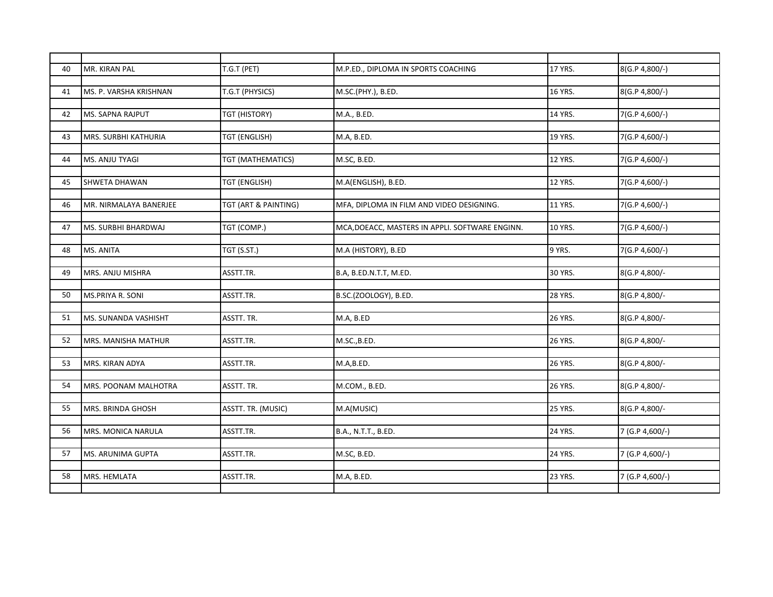| 40 | MR. KIRAN PAL           | T.G.T (PET)          | M.P.ED., DIPLOMA IN SPORTS COACHING             | 17 YRS.        | 8(G.P 4,800/-)  |
|----|-------------------------|----------------------|-------------------------------------------------|----------------|-----------------|
|    |                         |                      |                                                 |                |                 |
|    |                         |                      |                                                 |                |                 |
| 41 | MS. P. VARSHA KRISHNAN  | T.G.T (PHYSICS)      | M.SC.(PHY.), B.ED.                              | 16 YRS.        | 8(G.P 4,800/-)  |
|    |                         |                      |                                                 |                |                 |
| 42 | <b>MS. SAPNA RAJPUT</b> | TGT (HISTORY)        | M.A., B.ED.                                     | <b>14 YRS.</b> | 7(G.P 4,600/-)  |
|    |                         |                      |                                                 |                |                 |
| 43 | MRS. SURBHI KATHURIA    | <b>TGT (ENGLISH)</b> | M.A, B.ED.                                      | 19 YRS.        | 7(G.P 4,600/-)  |
|    |                         |                      |                                                 |                |                 |
| 44 | MS. ANJU TYAGI          | TGT (MATHEMATICS)    | M.SC, B.ED.                                     | <b>12 YRS.</b> | 7(G.P 4,600/-)  |
|    |                         |                      |                                                 |                |                 |
| 45 | <b>SHWETA DHAWAN</b>    | <b>TGT (ENGLISH)</b> | M.A(ENGLISH), B.ED.                             | <b>12 YRS.</b> | 7(G.P 4,600/-)  |
|    |                         |                      |                                                 |                |                 |
| 46 | MR. NIRMALAYA BANERJEE  | TGT (ART & PAINTING) | MFA, DIPLOMA IN FILM AND VIDEO DESIGNING.       | 11 YRS.        | 7(G.P 4,600/-)  |
|    |                         |                      |                                                 |                |                 |
| 47 | MS. SURBHI BHARDWAJ     | TGT (COMP.)          | MCA, DOEACC, MASTERS IN APPLI. SOFTWARE ENGINN. | 10 YRS.        | 7(G.P 4,600/-)  |
|    |                         |                      |                                                 |                |                 |
| 48 | MS. ANITA               |                      |                                                 | 9 YRS.         |                 |
|    |                         | TGT (S.ST.)          | M.A (HISTORY), B.ED                             |                | 7(G.P 4,600/-)  |
|    |                         |                      |                                                 |                |                 |
| 49 | MRS. ANJU MISHRA        | ASSTT.TR.            | B.A, B.ED.N.T.T, M.ED.                          | 30 YRS.        | 8(G.P 4,800/-   |
|    |                         |                      |                                                 |                |                 |
| 50 | MS.PRIYA R. SONI        | ASSTT.TR.            | B.SC.(ZOOLOGY), B.ED.                           | <b>28 YRS.</b> | 8(G.P 4,800/-   |
|    |                         |                      |                                                 |                |                 |
| 51 | MS. SUNANDA VASHISHT    | ASSTT. TR.           | M.A, B.ED                                       | 26 YRS.        | 8(G.P 4,800/-   |
|    |                         |                      |                                                 |                |                 |
| 52 | MRS. MANISHA MATHUR     | ASSTT.TR.            | M.SC., B.ED.                                    | 26 YRS.        | 8(G.P 4,800/-   |
|    |                         |                      |                                                 |                |                 |
| 53 | MRS. KIRAN ADYA         | ASSTT.TR.            | M.A,B.ED.                                       | <b>26 YRS.</b> | 8(G.P 4,800/-   |
|    |                         |                      |                                                 |                |                 |
| 54 | MRS. POONAM MALHOTRA    | ASSTT. TR.           | M.COM., B.ED.                                   | 26 YRS.        | 8(G.P 4,800/-   |
|    |                         |                      |                                                 |                |                 |
| 55 | MRS. BRINDA GHOSH       | ASSTT. TR. (MUSIC)   | M.A(MUSIC)                                      | <b>25 YRS.</b> | 8(G.P 4,800/-   |
|    |                         |                      |                                                 |                |                 |
|    | MRS. MONICA NARULA      |                      |                                                 | 24 YRS.        |                 |
| 56 |                         | ASSTT.TR.            | B.A., N.T.T., B.ED.                             |                | 7 (G.P 4,600/-) |
|    |                         |                      |                                                 |                |                 |
| 57 | MS. ARUNIMA GUPTA       | ASSTT.TR.            | M.SC, B.ED.                                     | 24 YRS.        | 7 (G.P 4,600/-) |
|    |                         |                      |                                                 |                |                 |
| 58 | MRS. HEMLATA            | ASSTT.TR.            | M.A, B.ED.                                      | 23 YRS.        | 7 (G.P 4,600/-) |
|    |                         |                      |                                                 |                |                 |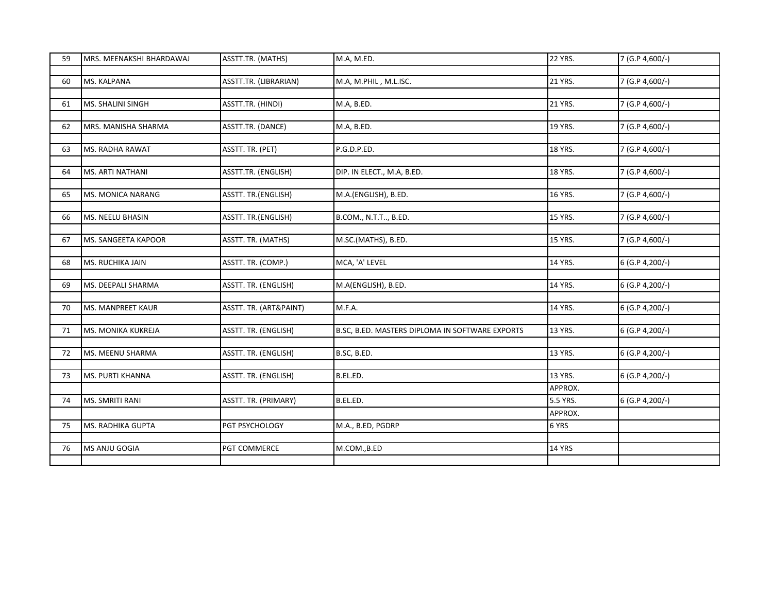| 59 | MRS. MEENAKSHI BHARDAWAJ | ASSTT.TR. (MATHS)      | M.A, M.ED.                                      | <b>22 YRS.</b> | 7 (G.P 4,600/-)   |
|----|--------------------------|------------------------|-------------------------------------------------|----------------|-------------------|
|    |                          |                        |                                                 |                |                   |
| 60 | MS. KALPANA              | ASSTT.TR. (LIBRARIAN)  | M.A, M.PHIL, M.L.ISC.                           | 21 YRS.        | 7 (G.P 4,600/-)   |
|    |                          |                        |                                                 |                |                   |
| 61 | MS. SHALINI SINGH        | ASSTT.TR. (HINDI)      | M.A, B.ED.                                      | 21 YRS.        | 7 (G.P 4,600/-)   |
|    |                          |                        |                                                 |                |                   |
| 62 | MRS. MANISHA SHARMA      | ASSTT.TR. (DANCE)      | M.A, B.ED.                                      | 19 YRS.        | 7 (G.P 4,600/-)   |
| 63 | MS. RADHA RAWAT          | ASSTT. TR. (PET)       | P.G.D.P.ED.                                     | 18 YRS.        | 7 (G.P 4,600/-)   |
|    |                          |                        |                                                 |                |                   |
| 64 | MS. ARTI NATHANI         | ASSTT.TR. (ENGLISH)    | DIP. IN ELECT., M.A, B.ED.                      | <b>18 YRS.</b> | 7 (G.P 4,600/-)   |
|    |                          |                        |                                                 |                |                   |
| 65 | MS. MONICA NARANG        | ASSTT. TR.(ENGLISH)    | M.A.(ENGLISH), B.ED.                            | 16 YRS.        | 7 (G.P 4,600/-)   |
|    |                          |                        |                                                 |                |                   |
| 66 | MS. NEELU BHASIN         | ASSTT. TR.(ENGLISH)    | B.COM., N.T.T, B.ED.                            | <b>15 YRS.</b> | 7 (G.P 4,600/-)   |
|    |                          |                        |                                                 |                |                   |
| 67 | MS. SANGEETA KAPOOR      | ASSTT. TR. (MATHS)     | M.SC.(MATHS), B.ED.                             | <b>15 YRS.</b> | 7 (G.P 4,600/-)   |
|    |                          |                        |                                                 |                |                   |
| 68 | MS. RUCHIKA JAIN         | ASSTT. TR. (COMP.)     | MCA, 'A' LEVEL                                  | 14 YRS.        | 6 (G.P 4, 200/-)  |
|    |                          |                        |                                                 |                |                   |
| 69 | MS. DEEPALI SHARMA       | ASSTT. TR. (ENGLISH)   | M.A(ENGLISH), B.ED.                             | 14 YRS.        | 6 (G.P 4, 200/-)  |
|    |                          |                        |                                                 |                |                   |
| 70 | MS. MANPREET KAUR        | ASSTT. TR. (ART&PAINT) | M.F.A.                                          | 14 YRS.        | $6$ (G.P 4,200/-) |
|    |                          |                        |                                                 |                |                   |
| 71 | MS. MONIKA KUKREJA       | ASSTT. TR. (ENGLISH)   | B.SC, B.ED. MASTERS DIPLOMA IN SOFTWARE EXPORTS | 13 YRS.        | 6 (G.P 4, 200/-)  |
| 72 | MS. MEENU SHARMA         | ASSTT. TR. (ENGLISH)   | B.SC, B.ED.                                     | 13 YRS.        | 6 (G.P 4,200/-)   |
|    |                          |                        |                                                 |                |                   |
| 73 | <b>MS. PURTI KHANNA</b>  | ASSTT. TR. (ENGLISH)   | B.EL.ED.                                        | 13 YRS.        | $6$ (G.P 4,200/-) |
|    |                          |                        |                                                 | APPROX.        |                   |
| 74 | <b>MS. SMRITI RANI</b>   | ASSTT. TR. (PRIMARY)   | B.EL.ED.                                        | 5.5 YRS.       | 6 (G.P 4, 200/-)  |
|    |                          |                        |                                                 | APPROX.        |                   |
| 75 | <b>MS. RADHIKA GUPTA</b> | PGT PSYCHOLOGY         | M.A., B.ED, PGDRP                               | 6 YRS          |                   |
|    |                          |                        |                                                 |                |                   |
| 76 | MS ANJU GOGIA            | PGT COMMERCE           | M.COM., B.ED                                    | <b>14 YRS</b>  |                   |
|    |                          |                        |                                                 |                |                   |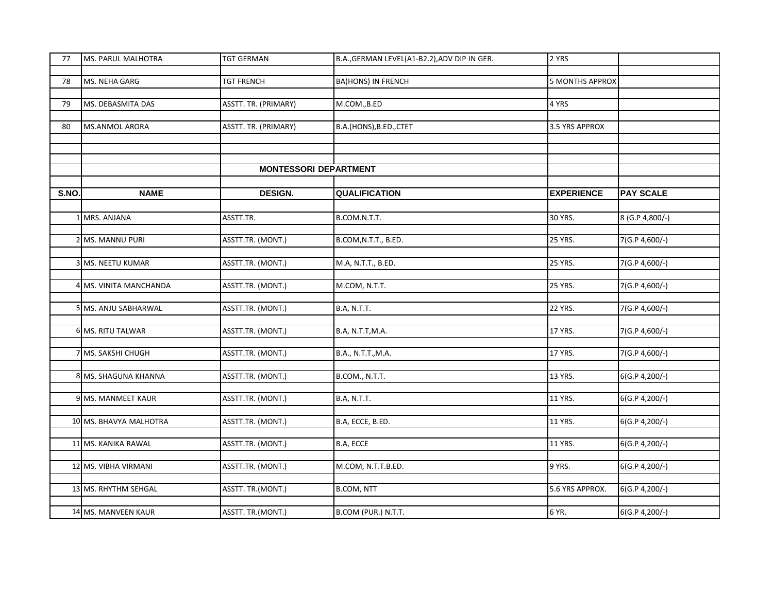| 77    | MS. PARUL MALHOTRA     | <b>TGT GERMAN</b>            | B.A., GERMAN LEVEL(A1-B2.2), ADV DIP IN GER. | 2 YRS                  |                    |
|-------|------------------------|------------------------------|----------------------------------------------|------------------------|--------------------|
|       |                        |                              |                                              |                        |                    |
| 78    | MS. NEHA GARG          | <b>TGT FRENCH</b>            | <b>BA(HONS) IN FRENCH</b>                    | <b>5 MONTHS APPROX</b> |                    |
|       |                        |                              |                                              |                        |                    |
| 79    | MS. DEBASMITA DAS      | ASSTT. TR. (PRIMARY)         | M.COM., B.ED                                 | 4 YRS                  |                    |
|       |                        |                              |                                              |                        |                    |
| 80    | <b>MS.ANMOL ARORA</b>  | ASSTT. TR. (PRIMARY)         | B.A.(HONS), B.ED., CTET                      | 3.5 YRS APPROX         |                    |
|       |                        |                              |                                              |                        |                    |
|       |                        |                              |                                              |                        |                    |
|       |                        | <b>MONTESSORI DEPARTMENT</b> |                                              |                        |                    |
|       |                        |                              |                                              |                        |                    |
| S.NO. | <b>NAME</b>            | <b>DESIGN.</b>               | <b>QUALIFICATION</b>                         | <b>EXPERIENCE</b>      | <b>PAY SCALE</b>   |
|       |                        |                              |                                              |                        |                    |
|       |                        |                              |                                              |                        |                    |
|       | MRS. ANJANA            | ASSTT.TR.                    | B.COM.N.T.T.                                 | 30 YRS.                | 8 (G.P 4,800/-)    |
|       |                        |                              |                                              | <b>25 YRS.</b>         |                    |
|       | 2 MS. MANNU PURI       | ASSTT.TR. (MONT.)            | B.COM, N.T.T., B.ED.                         |                        | 7(G.P 4,600/-)     |
|       |                        |                              |                                              |                        |                    |
|       | <b>MS. NEETU KUMAR</b> | ASSTT.TR. (MONT.)            | M.A, N.T.T., B.ED.                           | <b>25 YRS.</b>         | 7(G.P 4,600/-)     |
|       | MS. VINITA MANCHANDA   | ASSTT.TR. (MONT.)            | M.COM, N.T.T.                                | 25 YRS.                | 7(G.P 4,600/-)     |
|       |                        |                              |                                              |                        |                    |
|       | 5 MS. ANJU SABHARWAL   | ASSTT.TR. (MONT.)            | <b>B.A, N.T.T.</b>                           | <b>22 YRS.</b>         | 7(G.P 4,600/-)     |
|       |                        |                              |                                              |                        |                    |
|       | 6 MS. RITU TALWAR      | ASSTT.TR. (MONT.)            | B.A, N.T.T, M.A.                             | 17 YRS.                | 7(G.P 4,600/-)     |
|       |                        |                              |                                              |                        |                    |
|       | MS. SAKSHI CHUGH       | ASSTT.TR. (MONT.)            | B.A., N.T.T., M.A.                           | 17 YRS.                | 7(G.P 4,600/-)     |
|       |                        |                              |                                              |                        |                    |
|       | 8 MS. SHAGUNA KHANNA   | ASSTT.TR. (MONT.)            | B.COM., N.T.T.                               | 13 YRS.                | 6(G.P 4,200/-)     |
|       |                        |                              |                                              |                        |                    |
|       | 9 MS. MANMEET KAUR     | ASSTT.TR. (MONT.)            | <b>B.A, N.T.T.</b>                           | 11 YRS.                | $6(G.P.4, 200/-)$  |
|       |                        |                              |                                              |                        |                    |
|       | 10 MS. BHAVYA MALHOTRA | ASSTT.TR. (MONT.)            | B.A, ECCE, B.ED.                             | 11 YRS.                | 6(G.P 4,200/-)     |
|       |                        |                              |                                              |                        |                    |
|       | 11 MS. KANIKA RAWAL    | ASSTT.TR. (MONT.)            | B.A, ECCE                                    | 11 YRS.                | 6(G.P 4,200/-)     |
|       |                        |                              |                                              |                        |                    |
|       | 12 MS. VIBHA VIRMANI   | ASSTT.TR. (MONT.)            | M.COM, N.T.T.B.ED.                           | 9 YRS.                 | $6(G.P. 4, 200/-)$ |
|       |                        |                              |                                              |                        |                    |
|       | 13 MS. RHYTHM SEHGAL   | ASSTT. TR.(MONT.)            | <b>B.COM, NTT</b>                            | 5.6 YRS APPROX.        | 6(G.P 4,200/-)     |
|       |                        |                              |                                              |                        |                    |
|       | 14 MS. MANVEEN KAUR    | ASSTT. TR.(MONT.)            | B.COM (PUR.) N.T.T.                          | 6 YR.                  | 6(G.P 4,200/-)     |